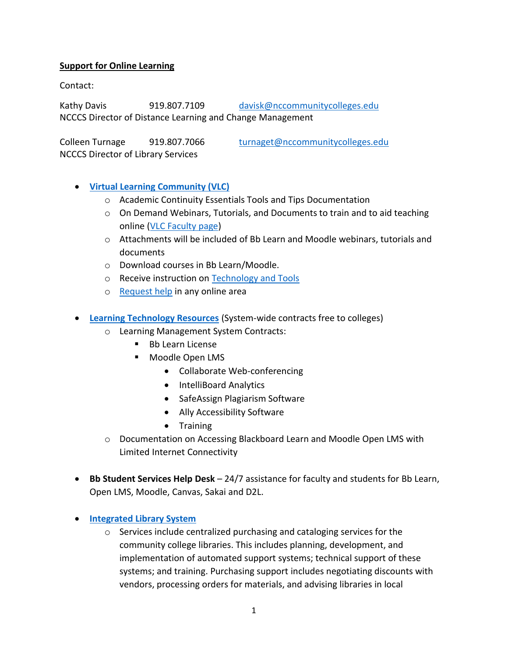### **Support for Online Learning**

Contact:

Kathy Davis 919.807.7109 [davisk@nccommunitycolleges.edu](mailto:davisk@nccommunitycolleges.edu) NCCCS Director of Distance Learning and Change Management

Colleen Turnage 919.807.7066 [turnaget@nccommunitycolleges.edu](mailto:turnaget@nccommunitycolleges.edu) NCCCS Director of Library Services

- **[Virtual Learning Community \(VLC\)](https://vlc.nccommunitycolleges.edu/)**
	- o Academic Continuity Essentials Tools and Tips Documentation
	- $\circ$  On Demand Webinars, Tutorials, and Documents to train and to aid teaching online [\(VLC Faculty page\)](https://vlc.configio.com/ShoppingCart.aspx?com=productlist&m=0)
	- $\circ$  Attachments will be included of Bb Learn and Moodle webinars, tutorials and documents
	- o Download courses in Bb Learn/Moodle.
	- o Receive instruction on [Technology and Tools](https://vlc.nccommunitycolleges.edu/faculty/technology-showcase/)
	- o [Request help](https://vlc.nccommunitycolleges.edu/contact/) in any online area
- **[Learning Technology Resources](https://www.nccommunitycolleges.edu/it-resources-and-services/vlc-tools-and-resources/learning-technology-resources)** (System-wide contracts free to colleges)
	- o Learning Management System Contracts:
		- Bb Learn License
		- Moodle Open LMS
			- Collaborate Web-conferencing
			- IntelliBoard Analytics
			- SafeAssign Plagiarism Software
			- Ally Accessibility Software
			- **•** Training
	- o Documentation on Accessing Blackboard Learn and Moodle Open LMS with Limited Internet Connectivity
- **Bb Student Services Help Desk** 24/7 assistance for faculty and students for Bb Learn, Open LMS, Moodle, Canvas, Sakai and D2L.
- **[Integrated Library System](https://noca.ent.sirsi.net/client/en_US/default)**
	- o Services include centralized purchasing and cataloging services for the community college libraries. This includes planning, development, and implementation of automated support systems; technical support of these systems; and training. Purchasing support includes negotiating discounts with vendors, processing orders for materials, and advising libraries in local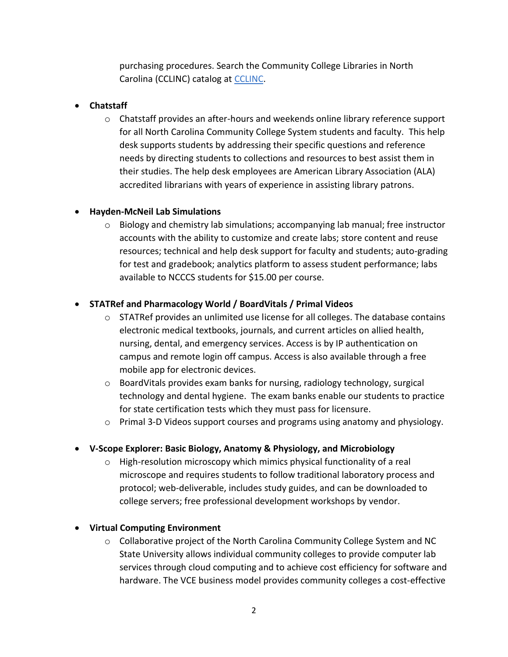purchasing procedures. Search the Community College Libraries in North Carolina (CCLINC) catalog at [CCLINC.](http://noca.ent.sirsi.net/client/en_US/default)

## **Chatstaff**

o Chatstaff provides an after-hours and weekends online library reference support for all North Carolina Community College System students and faculty. This help desk supports students by addressing their specific questions and reference needs by directing students to collections and resources to best assist them in their studies. The help desk employees are American Library Association (ALA) accredited librarians with years of experience in assisting library patrons.

## **Hayden-McNeil Lab Simulations**

 $\circ$  Biology and chemistry lab simulations; accompanying lab manual; free instructor accounts with the ability to customize and create labs; store content and reuse resources; technical and help desk support for faculty and students; auto-grading for test and gradebook; analytics platform to assess student performance; labs available to NCCCS students for \$15.00 per course.

## **STATRef and Pharmacology World / BoardVitals / Primal Videos**

- $\circ$  STATRef provides an unlimited use license for all colleges. The database contains electronic medical textbooks, journals, and current articles on allied health, nursing, dental, and emergency services. Access is by IP authentication on campus and remote login off campus. Access is also available through a free mobile app for electronic devices.
- o BoardVitals provides exam banks for nursing, radiology technology, surgical technology and dental hygiene. The exam banks enable our students to practice for state certification tests which they must pass for licensure.
- $\circ$  Primal 3-D Videos support courses and programs using anatomy and physiology.

# **V-Scope Explorer: Basic Biology, Anatomy & Physiology, and Microbiology**

 $\circ$  High-resolution microscopy which mimics physical functionality of a real microscope and requires students to follow traditional laboratory process and protocol; web-deliverable, includes study guides, and can be downloaded to college servers; free professional development workshops by vendor.

### **Virtual Computing Environment**

o Collaborative project of the North Carolina Community College System and NC State University allows individual community colleges to provide computer lab services through cloud computing and to achieve cost efficiency for software and hardware. The VCE business model provides community colleges a cost-effective